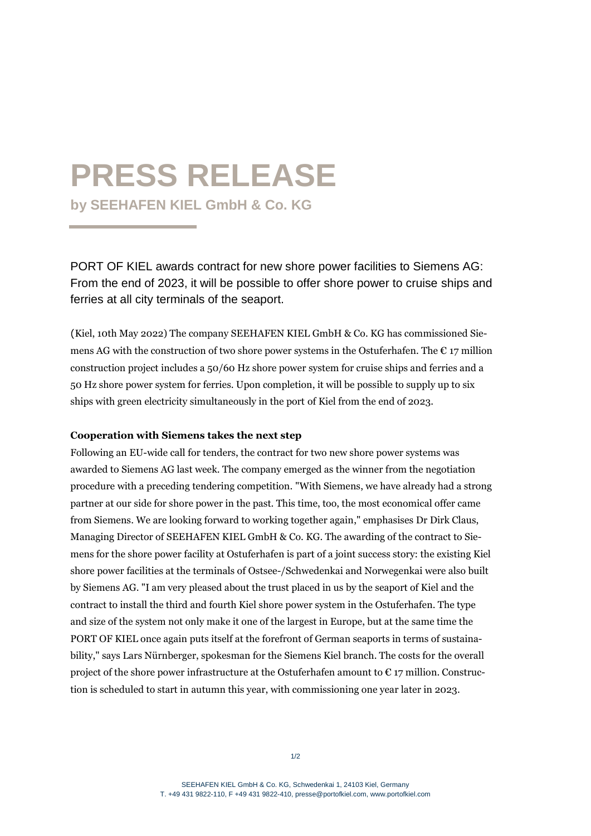## **PRESS RELEASE**

**by SEEHAFEN KIEL GmbH & Co. KG** 

PORT OF KIEL awards contract for new shore power facilities to Siemens AG: From the end of 2023, it will be possible to offer shore power to cruise ships and ferries at all city terminals of the seaport.

(Kiel, 10th May 2022) The company SEEHAFEN KIEL GmbH & Co. KG has commissioned Siemens AG with the construction of two shore power systems in the Ostuferhafen. The  $\epsilon$  17 million construction project includes a 50/60 Hz shore power system for cruise ships and ferries and a 50 Hz shore power system for ferries. Upon completion, it will be possible to supply up to six ships with green electricity simultaneously in the port of Kiel from the end of 2023.

## **Cooperation with Siemens takes the next step**

Following an EU-wide call for tenders, the contract for two new shore power systems was awarded to Siemens AG last week. The company emerged as the winner from the negotiation procedure with a preceding tendering competition. "With Siemens, we have already had a strong partner at our side for shore power in the past. This time, too, the most economical offer came from Siemens. We are looking forward to working together again," emphasises Dr Dirk Claus, Managing Director of SEEHAFEN KIEL GmbH & Co. KG. The awarding of the contract to Siemens for the shore power facility at Ostuferhafen is part of a joint success story: the existing Kiel shore power facilities at the terminals of Ostsee-/Schwedenkai and Norwegenkai were also built by Siemens AG. "I am very pleased about the trust placed in us by the seaport of Kiel and the contract to install the third and fourth Kiel shore power system in the Ostuferhafen. The type and size of the system not only make it one of the largest in Europe, but at the same time the PORT OF KIEL once again puts itself at the forefront of German seaports in terms of sustainability," says Lars Nürnberger, spokesman for the Siemens Kiel branch. The costs for the overall project of the shore power infrastructure at the Ostuferhafen amount to  $\epsilon$  17 million. Construction is scheduled to start in autumn this year, with commissioning one year later in 2023.